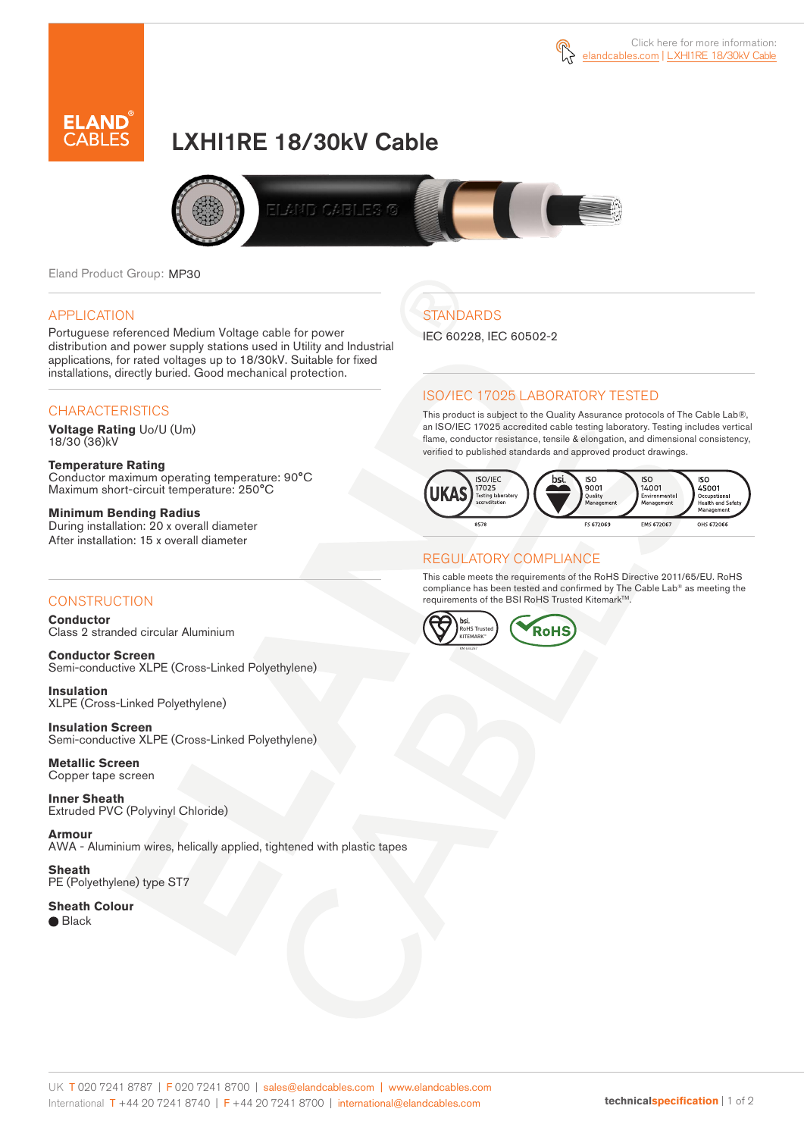



# LXHI1RE 18/30kV Cable



Eland Product Group: MP30

#### APPLICATION

Portuguese referenced Medium Voltage cable for power distribution and power supply stations used in Utility and Industrial applications, for rated voltages up to 18/30kV. Suitable for fixed installations, directly buried. Good mechanical protection.

### **CHARACTERISTICS**

**Voltage Rating** Uo/U (Um) 18/30 (36)kV

**Temperature Rating** Conductor maximum operating temperature: 90°C Maximum short-circuit temperature: 250°C

**Minimum Bending Radius** During installation: 20 x overall diameter After installation: 15 x overall diameter

### **CONSTRUCTION**

**Conductor**  Class 2 stranded circular Aluminium

**Conductor Screen** Semi-conductive XLPE (Cross-Linked Polyethylene)

**Insulation** XLPE (Cross-Linked Polyethylene)

**Insulation Screen** Semi-conductive XLPE (Cross-Linked Polyethylene)

**Metallic Screen**  Copper tape screen

**Inner Sheath** Extruded PVC (Polyvinyl Chloride)

**Armour** AWA - Aluminium wires, helically applied, tightened with plastic tapes

**Sheath** PE (Polyethylene) type ST7

**Sheath Colour**  ● Black

# **STANDARDS**

IEC 60228, IEC 60502-2

### ISO/IEC 17025 LABORATORY TESTED

This product is subject to the Quality Assurance protocols of The Cable Lab®, an ISO/IEC 17025 accredited cable testing laboratory. Testing includes vertical flame, conductor resistance, tensile & elongation, and dimensional consistency, verified to published standards and approved product drawings.



### REGULATORY COMPLIANCE

This cable meets the requirements of the RoHS Directive 2011/65/EU. RoHS compliance has been tested and confirmed by The Cable Lab® as meeting the requirements of the BSI RoHS Trusted Kitemark™.